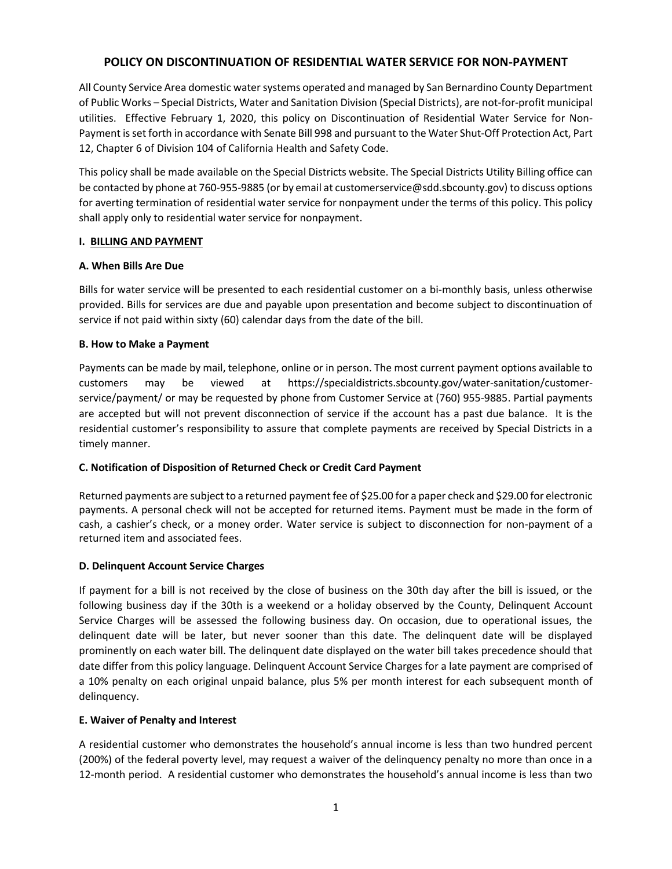# **POLICY ON DISCONTINUATION OF RESIDENTIAL WATER SERVICE FOR NON-PAYMENT**

All County Service Area domestic water systems operated and managed by San Bernardino County Department of Public Works – Special Districts, Water and Sanitation Division (Special Districts), are not-for-profit municipal utilities. Effective February 1, 2020, this policy on Discontinuation of Residential Water Service for Non-Payment is set forth in accordance with Senate Bill 998 and pursuant to the Water Shut-Off Protection Act, Part 12, Chapter 6 of Division 104 of California Health and Safety Code.

This policy shall be made available on the Special Districts website. The Special Districts Utility Billing office can be contacted by phone at 760-955-9885 (or by email at customerservice@sdd.sbcounty.gov) to discuss options for averting termination of residential water service for nonpayment under the terms of this policy. This policy shall apply only to residential water service for nonpayment.

# **I. BILLING AND PAYMENT**

# **A. When Bills Are Due**

Bills for water service will be presented to each residential customer on a bi-monthly basis, unless otherwise provided. Bills for services are due and payable upon presentation and become subject to discontinuation of service if not paid within sixty (60) calendar days from the date of the bill.

# **B. How to Make a Payment**

Payments can be made by mail, telephone, online or in person. The most current payment options available to customers may be viewed at https://specialdistricts.sbcounty.gov/water-sanitation/customerservice/payment/ or may be requested by phone from Customer Service at (760) 955-9885. Partial payments are accepted but will not prevent disconnection of service if the account has a past due balance. It is the residential customer's responsibility to assure that complete payments are received by Special Districts in a timely manner.

# **C. Notification of Disposition of Returned Check or Credit Card Payment**

Returned payments are subject to a returned payment fee of \$25.00 for a paper check and \$29.00 for electronic payments. A personal check will not be accepted for returned items. Payment must be made in the form of cash, a cashier's check, or a money order. Water service is subject to disconnection for non-payment of a returned item and associated fees.

### **D. Delinquent Account Service Charges**

If payment for a bill is not received by the close of business on the 30th day after the bill is issued, or the following business day if the 30th is a weekend or a holiday observed by the County, Delinquent Account Service Charges will be assessed the following business day. On occasion, due to operational issues, the delinquent date will be later, but never sooner than this date. The delinquent date will be displayed prominently on each water bill. The delinquent date displayed on the water bill takes precedence should that date differ from this policy language. Delinquent Account Service Charges for a late payment are comprised of a 10% penalty on each original unpaid balance, plus 5% per month interest for each subsequent month of delinquency.

### **E. Waiver of Penalty and Interest**

A residential customer who demonstrates the household's annual income is less than two hundred percent (200%) of the federal poverty level, may request a waiver of the delinquency penalty no more than once in a 12-month period. A residential customer who demonstrates the household's annual income is less than two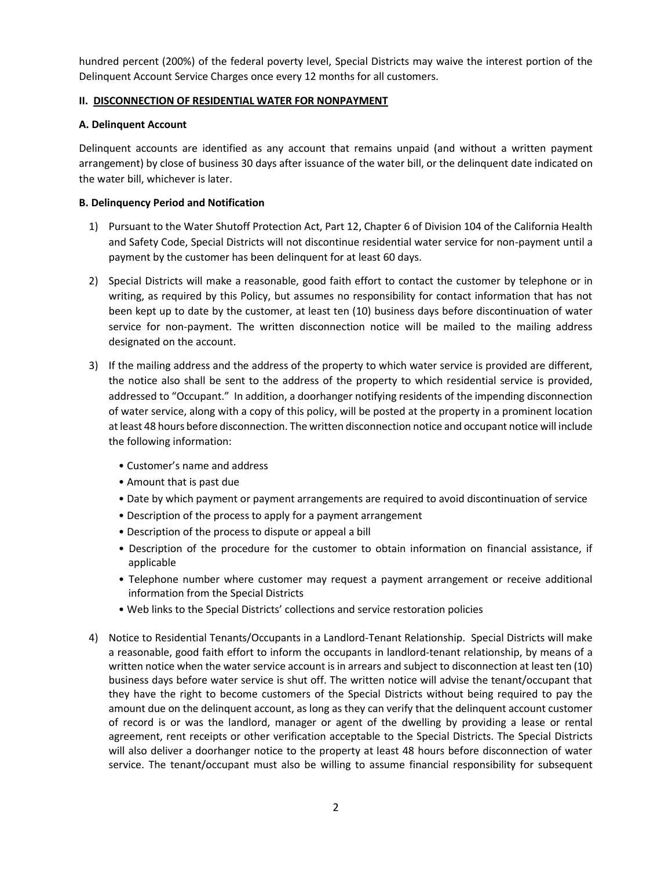hundred percent (200%) of the federal poverty level, Special Districts may waive the interest portion of the Delinquent Account Service Charges once every 12 months for all customers.

# **II. DISCONNECTION OF RESIDENTIAL WATER FOR NONPAYMENT**

# **A. Delinquent Account**

Delinquent accounts are identified as any account that remains unpaid (and without a written payment arrangement) by close of business 30 days after issuance of the water bill, or the delinquent date indicated on the water bill, whichever is later.

# **B. Delinquency Period and Notification**

- 1) Pursuant to the Water Shutoff Protection Act, Part 12, Chapter 6 of Division 104 of the California Health and Safety Code, Special Districts will not discontinue residential water service for non-payment until a payment by the customer has been delinquent for at least 60 days.
- 2) Special Districts will make a reasonable, good faith effort to contact the customer by telephone or in writing, as required by this Policy, but assumes no responsibility for contact information that has not been kept up to date by the customer, at least ten (10) business days before discontinuation of water service for non-payment. The written disconnection notice will be mailed to the mailing address designated on the account.
- 3) If the mailing address and the address of the property to which water service is provided are different, the notice also shall be sent to the address of the property to which residential service is provided, addressed to "Occupant." In addition, a doorhanger notifying residents of the impending disconnection of water service, along with a copy of this policy, will be posted at the property in a prominent location at least 48 hours before disconnection. The written disconnection notice and occupant notice will include the following information:
	- Customer's name and address
	- Amount that is past due
	- Date by which payment or payment arrangements are required to avoid discontinuation of service
	- Description of the process to apply for a payment arrangement
	- Description of the process to dispute or appeal a bill
	- Description of the procedure for the customer to obtain information on financial assistance, if applicable
	- Telephone number where customer may request a payment arrangement or receive additional information from the Special Districts
	- Web links to the Special Districts' collections and service restoration policies
- 4) Notice to Residential Tenants/Occupants in a Landlord-Tenant Relationship. Special Districts will make a reasonable, good faith effort to inform the occupants in landlord-tenant relationship, by means of a written notice when the water service account is in arrears and subject to disconnection at least ten (10) business days before water service is shut off. The written notice will advise the tenant/occupant that they have the right to become customers of the Special Districts without being required to pay the amount due on the delinquent account, as long as they can verify that the delinquent account customer of record is or was the landlord, manager or agent of the dwelling by providing a lease or rental agreement, rent receipts or other verification acceptable to the Special Districts. The Special Districts will also deliver a doorhanger notice to the property at least 48 hours before disconnection of water service. The tenant/occupant must also be willing to assume financial responsibility for subsequent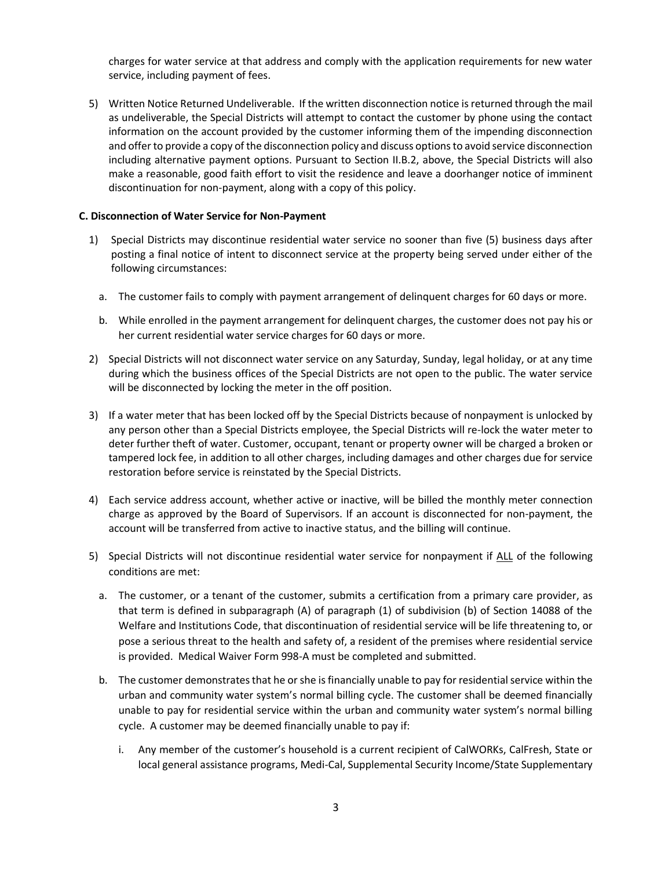charges for water service at that address and comply with the application requirements for new water service, including payment of fees.

5) Written Notice Returned Undeliverable. If the written disconnection notice is returned through the mail as undeliverable, the Special Districts will attempt to contact the customer by phone using the contact information on the account provided by the customer informing them of the impending disconnection and offer to provide a copy of the disconnection policy and discuss options to avoid service disconnection including alternative payment options. Pursuant to Section II.B.2, above, the Special Districts will also make a reasonable, good faith effort to visit the residence and leave a doorhanger notice of imminent discontinuation for non-payment, along with a copy of this policy.

## **C. Disconnection of Water Service for Non-Payment**

- 1) Special Districts may discontinue residential water service no sooner than five (5) business days after posting a final notice of intent to disconnect service at the property being served under either of the following circumstances:
	- a. The customer fails to comply with payment arrangement of delinquent charges for 60 days or more.
	- b. While enrolled in the payment arrangement for delinquent charges, the customer does not pay his or her current residential water service charges for 60 days or more.
- 2) Special Districts will not disconnect water service on any Saturday, Sunday, legal holiday, or at any time during which the business offices of the Special Districts are not open to the public. The water service will be disconnected by locking the meter in the off position.
- 3) If a water meter that has been locked off by the Special Districts because of nonpayment is unlocked by any person other than a Special Districts employee, the Special Districts will re-lock the water meter to deter further theft of water. Customer, occupant, tenant or property owner will be charged a broken or tampered lock fee, in addition to all other charges, including damages and other charges due for service restoration before service is reinstated by the Special Districts.
- 4) Each service address account, whether active or inactive, will be billed the monthly meter connection charge as approved by the Board of Supervisors. If an account is disconnected for non-payment, the account will be transferred from active to inactive status, and the billing will continue.
- 5) Special Districts will not discontinue residential water service for nonpayment if ALL of the following conditions are met:
	- a. The customer, or a tenant of the customer, submits a certification from a primary care provider, as that term is defined in subparagraph (A) of paragraph (1) of subdivision (b) of Section 14088 of the Welfare and Institutions Code, that discontinuation of residential service will be life threatening to, or pose a serious threat to the health and safety of, a resident of the premises where residential service is provided. Medical Waiver Form 998-A must be completed and submitted.
	- b. The customer demonstrates that he or she is financially unable to pay for residential service within the urban and community water system's normal billing cycle. The customer shall be deemed financially unable to pay for residential service within the urban and community water system's normal billing cycle. A customer may be deemed financially unable to pay if:
		- i. Any member of the customer's household is a current recipient of CalWORKs, CalFresh, State or local general assistance programs, Medi-Cal, Supplemental Security Income/State Supplementary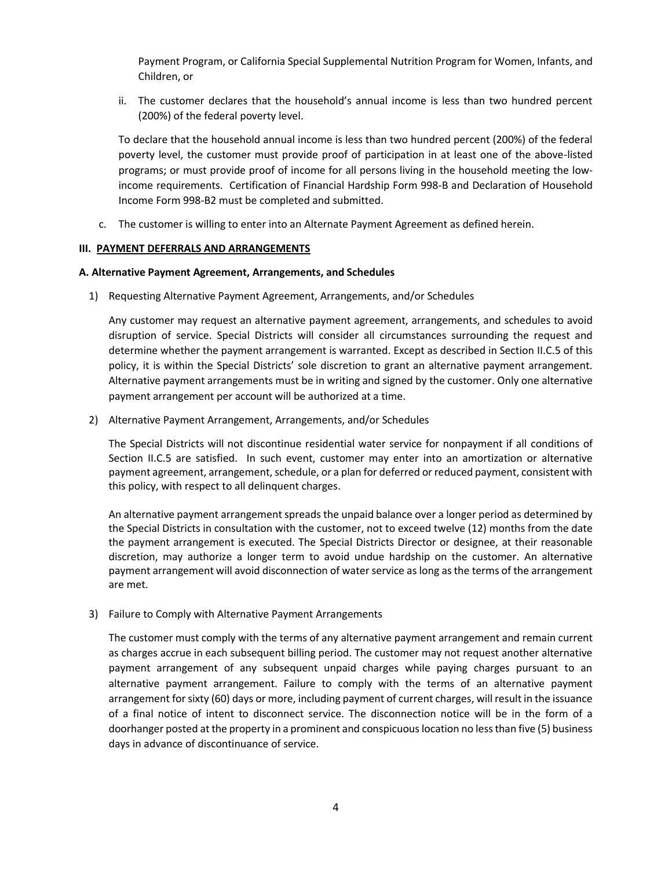Payment Program, or California Special Supplemental Nutrition Program for Women, Infants, and Children, or

ii. The customer declares that the household's annual income is less than two hundred percent (200%) of the federal poverty level.

To declare that the household annual income is less than two hundred percent (200%) of the federal poverty level, the customer must provide proof of participation in at least one of the above-listed programs; or must provide proof of income for all persons living in the household meeting the lowincome requirements. Certification of Financial Hardship Form 998-B and Declaration of Household Income Form 998-B2 must be completed and submitted.

c. The customer is willing to enter into an Alternate Payment Agreement as defined herein.

# **III. PAYMENT DEFERRALS AND ARRANGEMENTS**

### **A. Alternative Payment Agreement, Arrangements, and Schedules**

1) Requesting Alternative Payment Agreement, Arrangements, and/or Schedules

Any customer may request an alternative payment agreement, arrangements, and schedules to avoid disruption of service. Special Districts will consider all circumstances surrounding the request and determine whether the payment arrangement is warranted. Except as described in Section II.C.5 of this policy, it is within the Special Districts' sole discretion to grant an alternative payment arrangement. Alternative payment arrangements must be in writing and signed by the customer. Only one alternative payment arrangement per account will be authorized at a time.

2) Alternative Payment Arrangement, Arrangements, and/or Schedules

The Special Districts will not discontinue residential water service for nonpayment if all conditions of Section II.C.5 are satisfied. In such event, customer may enter into an amortization or alternative payment agreement, arrangement, schedule, or a plan for deferred or reduced payment, consistent with this policy, with respect to all delinquent charges.

An alternative payment arrangement spreads the unpaid balance over a longer period as determined by the Special Districts in consultation with the customer, not to exceed twelve (12) months from the date the payment arrangement is executed. The Special Districts Director or designee, at their reasonable discretion, may authorize a longer term to avoid undue hardship on the customer. An alternative payment arrangement will avoid disconnection of water service as long as the terms of the arrangement are met.

3) Failure to Comply with Alternative Payment Arrangements

The customer must comply with the terms of any alternative payment arrangement and remain current as charges accrue in each subsequent billing period. The customer may not request another alternative payment arrangement of any subsequent unpaid charges while paying charges pursuant to an alternative payment arrangement. Failure to comply with the terms of an alternative payment arrangement for sixty (60) days or more, including payment of current charges, will result in the issuance of a final notice of intent to disconnect service. The disconnection notice will be in the form of a doorhanger posted at the property in a prominent and conspicuous location no less than five (5) business days in advance of discontinuance of service.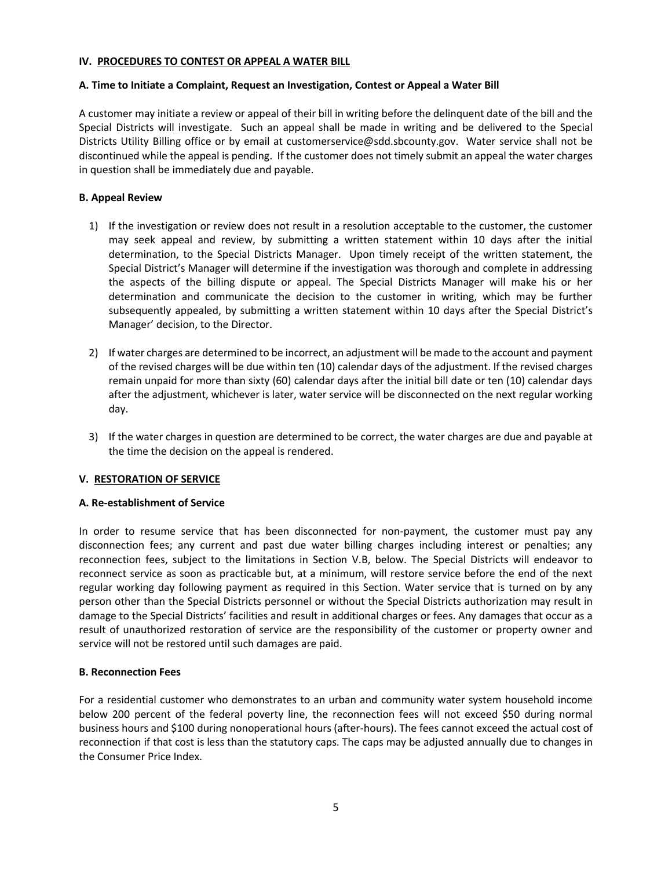### **IV. PROCEDURES TO CONTEST OR APPEAL A WATER BILL**

### **A. Time to Initiate a Complaint, Request an Investigation, Contest or Appeal a Water Bill**

A customer may initiate a review or appeal of their bill in writing before the delinquent date of the bill and the Special Districts will investigate. Such an appeal shall be made in writing and be delivered to the Special Districts Utility Billing office or by email at customerservice@sdd.sbcounty.gov. Water service shall not be discontinued while the appeal is pending. If the customer does not timely submit an appeal the water charges in question shall be immediately due and payable.

### **B. Appeal Review**

- 1) If the investigation or review does not result in a resolution acceptable to the customer, the customer may seek appeal and review, by submitting a written statement within 10 days after the initial determination, to the Special Districts Manager. Upon timely receipt of the written statement, the Special District's Manager will determine if the investigation was thorough and complete in addressing the aspects of the billing dispute or appeal. The Special Districts Manager will make his or her determination and communicate the decision to the customer in writing, which may be further subsequently appealed, by submitting a written statement within 10 days after the Special District's Manager' decision, to the Director.
- 2) If water charges are determined to be incorrect, an adjustment will be made to the account and payment of the revised charges will be due within ten (10) calendar days of the adjustment. If the revised charges remain unpaid for more than sixty (60) calendar days after the initial bill date or ten (10) calendar days after the adjustment, whichever is later, water service will be disconnected on the next regular working day.
- 3) If the water charges in question are determined to be correct, the water charges are due and payable at the time the decision on the appeal is rendered.

### **V. RESTORATION OF SERVICE**

#### **A. Re-establishment of Service**

In order to resume service that has been disconnected for non-payment, the customer must pay any disconnection fees; any current and past due water billing charges including interest or penalties; any reconnection fees, subject to the limitations in Section V.B, below. The Special Districts will endeavor to reconnect service as soon as practicable but, at a minimum, will restore service before the end of the next regular working day following payment as required in this Section. Water service that is turned on by any person other than the Special Districts personnel or without the Special Districts authorization may result in damage to the Special Districts' facilities and result in additional charges or fees. Any damages that occur as a result of unauthorized restoration of service are the responsibility of the customer or property owner and service will not be restored until such damages are paid.

#### **B. Reconnection Fees**

For a residential customer who demonstrates to an urban and community water system household income below 200 percent of the federal poverty line, the reconnection fees will not exceed \$50 during normal business hours and \$100 during nonoperational hours (after-hours). The fees cannot exceed the actual cost of reconnection if that cost is less than the statutory caps. The caps may be adjusted annually due to changes in the Consumer Price Index.